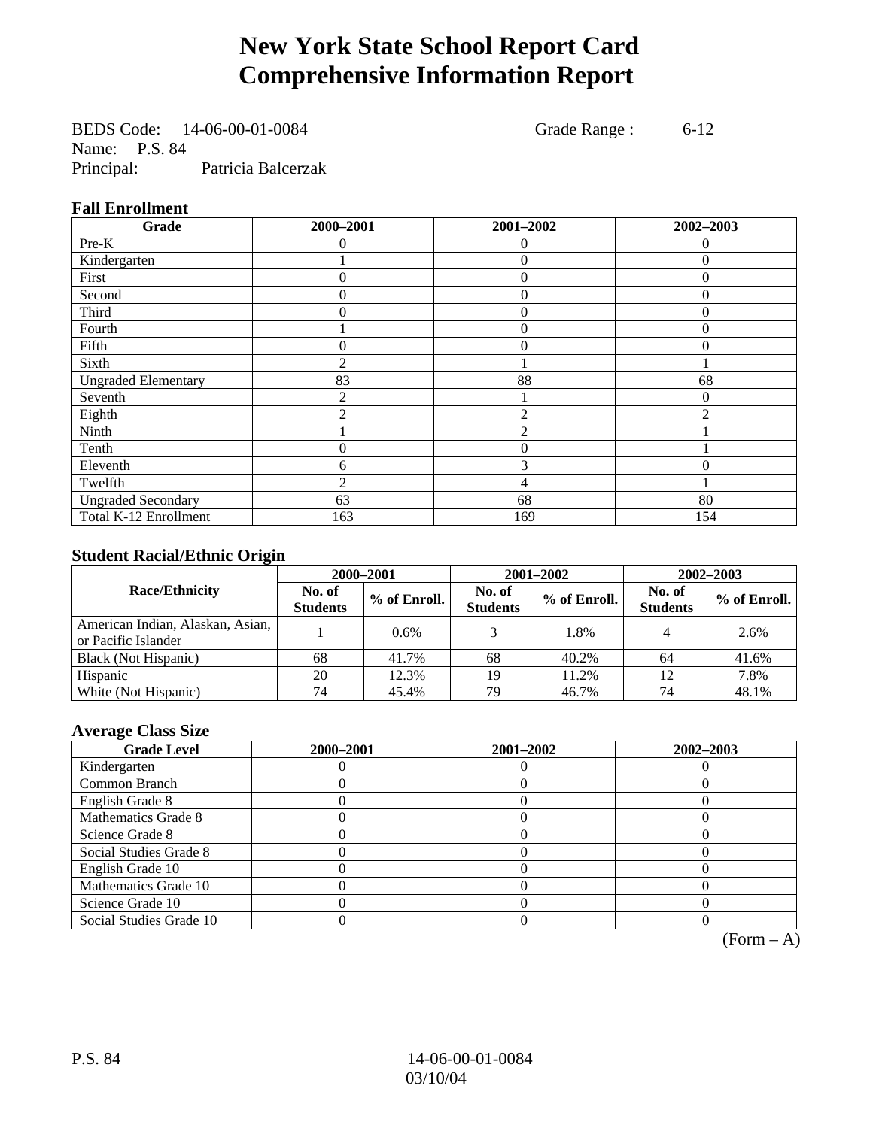# **New York State School Report Card Comprehensive Information Report**

BEDS Code: 14-06-00-01-0084 Grade Range : 6-12 Name: P.S. 84 Principal: Patricia Balcerzak

### **Fall Enrollment**

| Grade                      | 2000-2001      | 2001-2002      | 2002-2003 |
|----------------------------|----------------|----------------|-----------|
| Pre-K                      | $\Omega$       | 0              | $\theta$  |
| Kindergarten               |                | $\overline{0}$ | $\Omega$  |
| First                      | 0              | $\theta$       | $\Omega$  |
| Second                     | 0              | $\theta$       | $\Omega$  |
| Third                      | 0              | $\theta$       | 0         |
| Fourth                     |                | $\theta$       | $\theta$  |
| Fifth                      | 0              | $\Omega$       | $\Omega$  |
| Sixth                      | $\overline{c}$ |                |           |
| <b>Ungraded Elementary</b> | 83             | 88             | 68        |
| Seventh                    | 2              |                | 0         |
| Eighth                     | $\mathfrak{D}$ | $\mathfrak{D}$ | ∍         |
| Ninth                      |                | $\overline{c}$ |           |
| Tenth                      | 0              | $\overline{0}$ |           |
| Eleventh                   | 6              | 3              | 0         |
| Twelfth                    | $\overline{2}$ | 4              |           |
| <b>Ungraded Secondary</b>  | 63             | 68             | 80        |
| Total K-12 Enrollment      | 163            | 169            | 154       |

### **Student Racial/Ethnic Origin**

|                                                         | 2000-2001<br>2001-2002<br>2002-2003 |              |                           |              |                           |                |
|---------------------------------------------------------|-------------------------------------|--------------|---------------------------|--------------|---------------------------|----------------|
| <b>Race/Ethnicity</b>                                   | No. of<br><b>Students</b>           | % of Enroll. | No. of<br><b>Students</b> | % of Enroll. | No. of<br><b>Students</b> | $%$ of Enroll. |
| American Indian, Alaskan, Asian,<br>or Pacific Islander |                                     | 0.6%         |                           | 1.8%         |                           | 2.6%           |
| Black (Not Hispanic)                                    | 68                                  | 41.7%        | 68                        | 40.2%        | 64                        | 41.6%          |
| Hispanic                                                | 20                                  | 12.3%        | 19                        | 11.2%        | 12                        | 7.8%           |
| White (Not Hispanic)                                    | 74                                  | 45.4%        | 79                        | 46.7%        | 74                        | 48.1%          |

### **Average Class Size**

| <b>Grade Level</b>      | 2000-2001 | 2001-2002 | 2002-2003 |
|-------------------------|-----------|-----------|-----------|
| Kindergarten            |           |           |           |
| Common Branch           |           |           |           |
| English Grade 8         |           |           |           |
| Mathematics Grade 8     |           |           |           |
| Science Grade 8         |           |           |           |
| Social Studies Grade 8  |           |           |           |
| English Grade 10        |           |           |           |
| Mathematics Grade 10    |           |           |           |
| Science Grade 10        |           |           |           |
| Social Studies Grade 10 |           |           |           |

 $(Form - A)$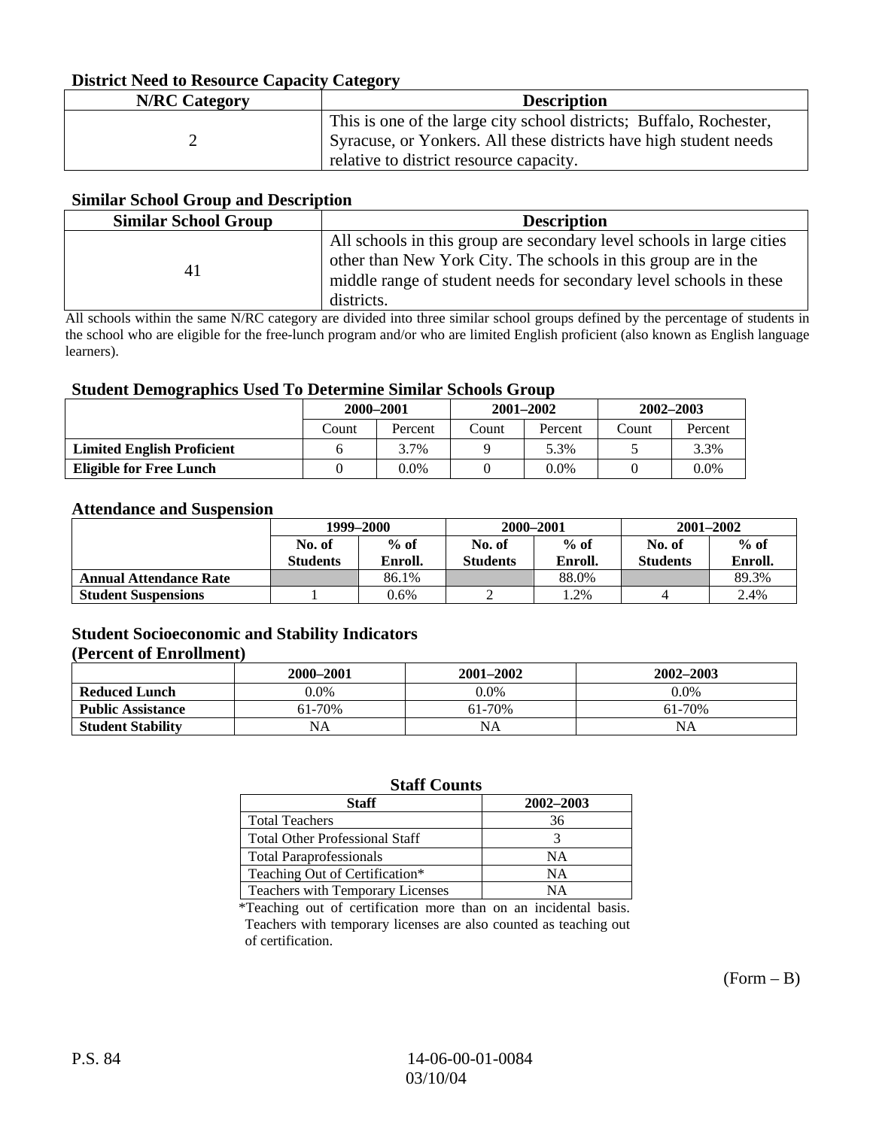### **District Need to Resource Capacity Category**

| <b>N/RC</b> Category | <b>Description</b>                                                                                                                                                                  |
|----------------------|-------------------------------------------------------------------------------------------------------------------------------------------------------------------------------------|
|                      | This is one of the large city school districts; Buffalo, Rochester,<br>Syracuse, or Yonkers. All these districts have high student needs<br>relative to district resource capacity. |

#### **Similar School Group and Description**

| <b>Similar School Group</b> | <b>Description</b>                                                                                                                                                                                                          |
|-----------------------------|-----------------------------------------------------------------------------------------------------------------------------------------------------------------------------------------------------------------------------|
| 41                          | All schools in this group are secondary level schools in large cities<br>other than New York City. The schools in this group are in the<br>middle range of student needs for secondary level schools in these<br>districts. |

All schools within the same N/RC category are divided into three similar school groups defined by the percentage of students in the school who are eligible for the free-lunch program and/or who are limited English proficient (also known as English language learners).

#### **Student Demographics Used To Determine Similar Schools Group**

| o                                 | 2000-2001 |         |       | $2001 - 2002$ | 2002-2003 |         |
|-----------------------------------|-----------|---------|-------|---------------|-----------|---------|
|                                   | Count     | Percent | Count | Percent       | Count     | Percent |
| <b>Limited English Proficient</b> |           | 3.7%    |       | 5.3%          |           | 3.3%    |
| <b>Eligible for Free Lunch</b>    |           | 0.0%    |       | $0.0\%$       |           | $0.0\%$ |

#### **Attendance and Suspension**

|                               | 1999-2000       |         | 2000-2001       |         | $2001 - 2002$   |         |
|-------------------------------|-----------------|---------|-----------------|---------|-----------------|---------|
|                               | No. of          | $%$ of  | No. of          | $%$ of  | No. of          | $%$ of  |
|                               | <b>Students</b> | Enroll. | <b>Students</b> | Enroll. | <b>Students</b> | Enroll. |
| <b>Annual Attendance Rate</b> |                 | 86.1%   |                 | 88.0%   |                 | 89.3%   |
| <b>Student Suspensions</b>    |                 | 0.6%    |                 | 1.2%    |                 | 2.4%    |

## **Student Socioeconomic and Stability Indicators**

### **(Percent of Enrollment)**

|                          | 2000-2001 | 2001–2002 | 2002-2003 |
|--------------------------|-----------|-----------|-----------|
| <b>Reduced Lunch</b>     | 0.0%      | $0.0\%$   | $0.0\%$   |
| <b>Public Assistance</b> | 61-70%    | 61-70%    | 61-70%    |
| <b>Student Stability</b> | NA        | NA        | NA        |

#### **Staff Counts**

| <b>Staff</b>                          | 2002-2003 |
|---------------------------------------|-----------|
| <b>Total Teachers</b>                 | 36        |
| <b>Total Other Professional Staff</b> |           |
| <b>Total Paraprofessionals</b>        | NΑ        |
| Teaching Out of Certification*        | NΑ        |
| Teachers with Temporary Licenses      | NΑ        |

\*Teaching out of certification more than on an incidental basis. Teachers with temporary licenses are also counted as teaching out of certification.

 $(Form - B)$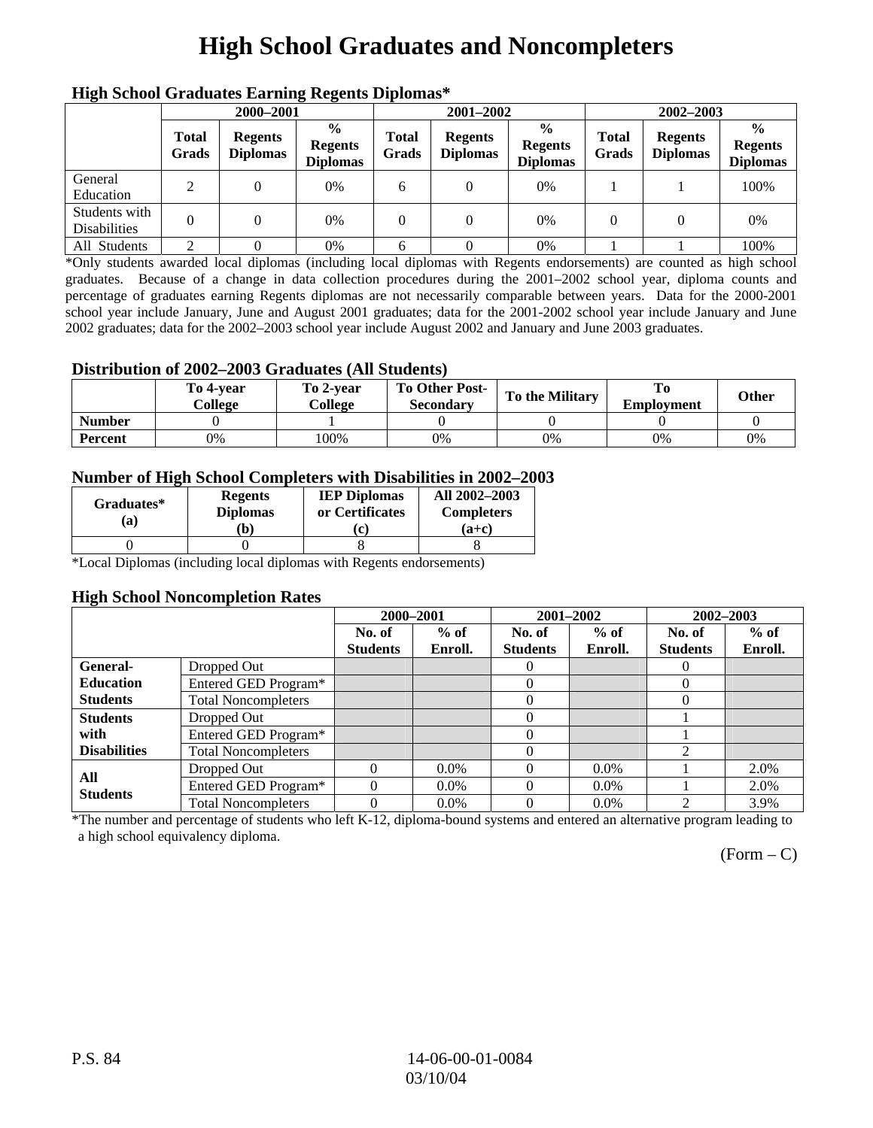# **High School Graduates and Noncompleters**

| ніді эспол этайнакі патінід кеденія вірюшая |                       |                                   |                                                    |                       |                                   |                                                    |                       |                                   |                                                    |  |
|---------------------------------------------|-----------------------|-----------------------------------|----------------------------------------------------|-----------------------|-----------------------------------|----------------------------------------------------|-----------------------|-----------------------------------|----------------------------------------------------|--|
|                                             | 2000-2001             |                                   |                                                    |                       | 2001-2002                         |                                                    |                       | 2002-2003                         |                                                    |  |
|                                             | <b>Total</b><br>Grads | <b>Regents</b><br><b>Diplomas</b> | $\frac{0}{0}$<br><b>Regents</b><br><b>Diplomas</b> | <b>Total</b><br>Grads | <b>Regents</b><br><b>Diplomas</b> | $\frac{6}{6}$<br><b>Regents</b><br><b>Diplomas</b> | <b>Total</b><br>Grads | <b>Regents</b><br><b>Diplomas</b> | $\frac{0}{0}$<br><b>Regents</b><br><b>Diplomas</b> |  |
| General<br>Education                        | 2                     |                                   | 0%                                                 | 6                     |                                   | 0%                                                 |                       |                                   | 100%                                               |  |
| Students with<br><b>Disabilities</b>        |                       |                                   | 0%                                                 | 0                     | $\theta$                          | 0%                                                 | $\theta$              |                                   | 0%                                                 |  |
| All Students                                | ◠                     |                                   | 0%                                                 | 6                     |                                   | 0%                                                 |                       |                                   | 100%                                               |  |

### **High School Graduates Earning Regents Diplomas\***

\*Only students awarded local diplomas (including local diplomas with Regents endorsements) are counted as high school graduates. Because of a change in data collection procedures during the 2001–2002 school year, diploma counts and percentage of graduates earning Regents diplomas are not necessarily comparable between years. Data for the 2000-2001 school year include January, June and August 2001 graduates; data for the 2001-2002 school year include January and June 2002 graduates; data for the 2002–2003 school year include August 2002 and January and June 2003 graduates.

#### **Distribution of 2002–2003 Graduates (All Students)**

|               | To 4-vear<br>College | To 2-vear<br>College | <b>To Other Post-</b><br><b>Secondary</b> | <b>To the Military</b> | <b>Employment</b> | Other |
|---------------|----------------------|----------------------|-------------------------------------------|------------------------|-------------------|-------|
| <b>Number</b> |                      |                      |                                           |                        |                   |       |
| Percent       | 0%                   | 100%                 | 0%                                        | 0%                     | 0%                | 0%    |

#### **Number of High School Completers with Disabilities in 2002–2003**

| Graduates*<br>(a) | <b>Regents</b><br><b>Diplomas</b><br>b) | <b>IEP Diplomas</b><br>or Certificates<br>$\mathbf{c}$ | All 2002-2003<br><b>Completers</b><br>$(a+c)$ |
|-------------------|-----------------------------------------|--------------------------------------------------------|-----------------------------------------------|
|                   |                                         |                                                        |                                               |
|                   |                                         |                                                        |                                               |

\*Local Diplomas (including local diplomas with Regents endorsements)

#### **High School Noncompletion Rates**

|                     |                            | 2000-2001       |         | 2001-2002       |         | 2002-2003       |         |
|---------------------|----------------------------|-----------------|---------|-----------------|---------|-----------------|---------|
|                     |                            | No. of          | $%$ of  | No. of          | $%$ of  | No. of          | $%$ of  |
|                     |                            | <b>Students</b> | Enroll. | <b>Students</b> | Enroll. | <b>Students</b> | Enroll. |
| <b>General-</b>     | Dropped Out                |                 |         | $\theta$        |         | $\theta$        |         |
| <b>Education</b>    | Entered GED Program*       |                 |         | $\theta$        |         | $\Omega$        |         |
| <b>Students</b>     | <b>Total Noncompleters</b> |                 |         |                 |         | 0               |         |
| <b>Students</b>     | Dropped Out                |                 |         | 0               |         |                 |         |
| with                | Entered GED Program*       |                 |         |                 |         |                 |         |
| <b>Disabilities</b> | <b>Total Noncompleters</b> |                 |         | $\Omega$        |         | $\mathfrak{D}$  |         |
| All                 | Dropped Out                | $\Omega$        | $0.0\%$ |                 | $0.0\%$ |                 | 2.0%    |
| <b>Students</b>     | Entered GED Program*       |                 | $0.0\%$ |                 | $0.0\%$ |                 | 2.0%    |
|                     | <b>Total Noncompleters</b> | $\Omega$        | $0.0\%$ | 0               | $0.0\%$ | ◠               | 3.9%    |

\*The number and percentage of students who left K-12, diploma-bound systems and entered an alternative program leading to a high school equivalency diploma.

 $(Form - C)$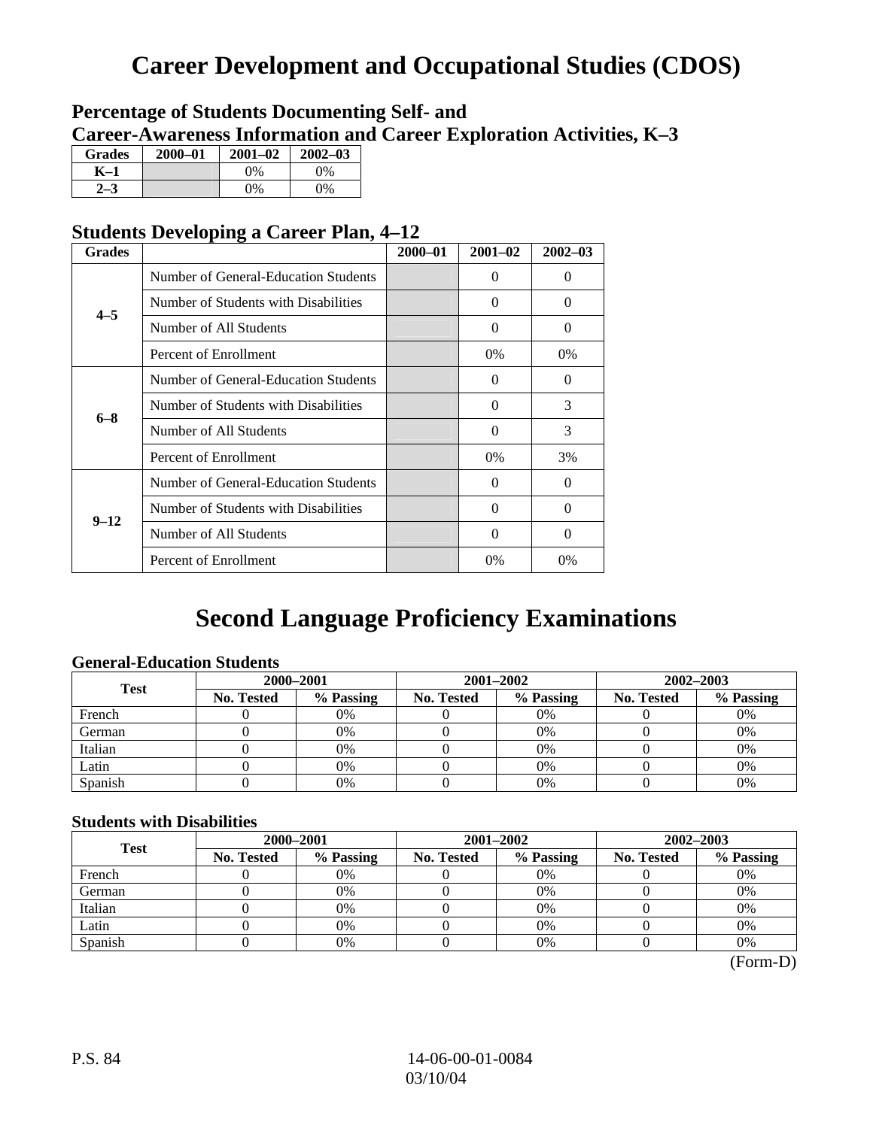# **Career Development and Occupational Studies (CDOS)**

## **Percentage of Students Documenting Self- and Career-Awareness Information and Career Exploration Activities, K–3**

| <b>Grades</b> | 2000-01 | $2001 - 02$ | $2002 - 03$ |
|---------------|---------|-------------|-------------|
| K–1           |         | $0\%$       | $0\%$       |
|               |         | $0\%$       | $0\%$       |

## **Students Developing a Career Plan, 4–12**

| <b>Grades</b>                                                                                  |                                                                                                                                             | $2000 - 01$ | $2001 - 02$ | $2002 - 03$ |
|------------------------------------------------------------------------------------------------|---------------------------------------------------------------------------------------------------------------------------------------------|-------------|-------------|-------------|
|                                                                                                | Number of General-Education Students                                                                                                        |             | 0           | $\theta$    |
|                                                                                                | Number of Students with Disabilities                                                                                                        |             | 0           | $\Omega$    |
|                                                                                                | Number of All Students                                                                                                                      |             | 0           | $\Omega$    |
| $4 - 5$<br>Percent of Enrollment<br>$6 - 8$<br>Number of All Students<br>Percent of Enrollment |                                                                                                                                             |             | $0\%$       | 0%          |
|                                                                                                | Number of General-Education Students                                                                                                        |             | 0           | $\Omega$    |
|                                                                                                | Number of Students with Disabilities                                                                                                        |             | $\Omega$    | 3           |
|                                                                                                |                                                                                                                                             |             | $\theta$    | 3           |
|                                                                                                | Number of General-Education Students<br>Number of Students with Disabilities<br>$9 - 12$<br>Number of All Students<br>Percent of Enrollment |             | $0\%$       | 3%          |
|                                                                                                |                                                                                                                                             |             | 0           | $\Omega$    |
|                                                                                                |                                                                                                                                             |             | 0           | $\Omega$    |
|                                                                                                |                                                                                                                                             |             | $\Omega$    | $\Omega$    |
|                                                                                                |                                                                                                                                             |             | $0\%$       | 0%          |

# **Second Language Proficiency Examinations**

### **General-Education Students**

| <b>Test</b> | 2000-2001         |           |            | 2001–2002 | 2002-2003         |           |  |
|-------------|-------------------|-----------|------------|-----------|-------------------|-----------|--|
|             | <b>No. Tested</b> | % Passing | No. Tested | % Passing | <b>No. Tested</b> | % Passing |  |
| French      |                   | 0%        |            | $0\%$     |                   | 0%        |  |
| German      |                   | 0%        |            | 0%        |                   | 0%        |  |
| Italian     |                   | 0%        |            | 0%        |                   | 0%        |  |
| Latin       |                   | 0%        |            | 0%        |                   | 0%        |  |
| Spanish     |                   | 0%        |            | 0%        |                   | 0%        |  |

#### **Students with Disabilities**

| <b>Test</b> | 2000-2001         |           |            | 2001-2002 | 2002-2003         |           |  |
|-------------|-------------------|-----------|------------|-----------|-------------------|-----------|--|
|             | <b>No. Tested</b> | % Passing | No. Tested | % Passing | <b>No. Tested</b> | % Passing |  |
| French      |                   | 0%        |            | $0\%$     |                   | 0%        |  |
| German      |                   | 0%        |            | 0%        |                   | 0%        |  |
| Italian     |                   | 0%        |            | 0%        |                   | 0%        |  |
| Latin       |                   | 0%        |            | $0\%$     |                   | 0%        |  |
| Spanish     |                   | 0%        |            | 0%        |                   | 0%        |  |

 <sup>(</sup>Form-D)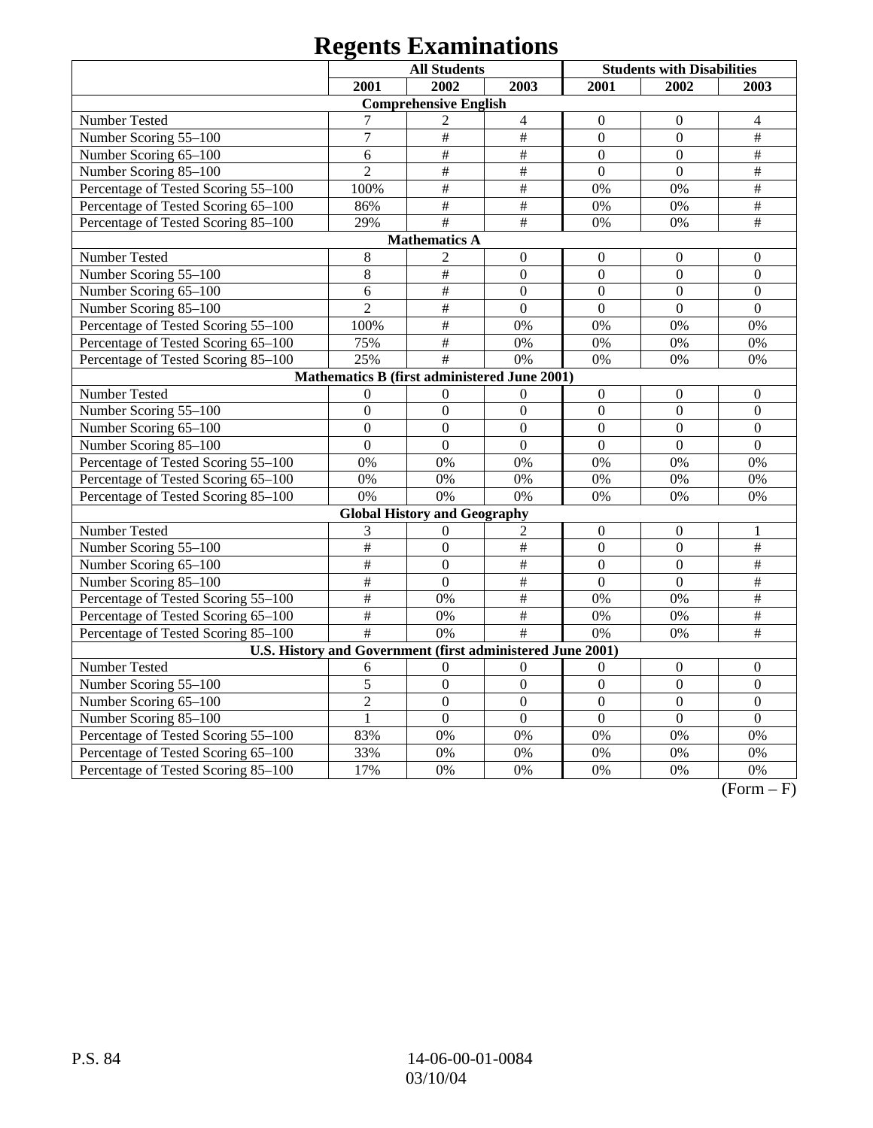# **Regents Examinations**

|                                                            |                 | <b>All Students</b>                          |                           |                  | <b>Students with Disabilities</b> |                           |
|------------------------------------------------------------|-----------------|----------------------------------------------|---------------------------|------------------|-----------------------------------|---------------------------|
|                                                            | 2001            | 2002                                         | 2003                      | 2001             | 2002                              | 2003                      |
|                                                            |                 | <b>Comprehensive English</b>                 |                           |                  |                                   |                           |
| Number Tested                                              | 7               | $\overline{c}$                               | $\overline{4}$            | $\Omega$         | $\mathbf{0}$                      | $\overline{4}$            |
| Number Scoring 55-100                                      | $\overline{7}$  | $\#$                                         | $\frac{1}{2}$             | $\overline{0}$   | $\overline{0}$                    | $\overline{\overline{H}}$ |
| Number Scoring 65-100                                      | 6               | $\#$                                         | $\#$                      | $\boldsymbol{0}$ | $\boldsymbol{0}$                  | $\#$                      |
| Number Scoring 85-100                                      | $\overline{2}$  | $\#$                                         | $\overline{\overline{H}}$ | $\overline{0}$   | $\overline{0}$                    | $\#$                      |
| Percentage of Tested Scoring 55-100                        | 100%            | $\#$                                         | $\overline{\overline{H}}$ | 0%               | 0%                                | $\overline{\overline{H}}$ |
| Percentage of Tested Scoring 65-100                        | 86%             | $\overline{\overline{H}}$                    | $\#$                      | 0%               | 0%                                | $\#$                      |
| Percentage of Tested Scoring 85-100                        | 29%             | $\#$                                         | $\overline{\overline{H}}$ | 0%               | 0%                                | $\#$                      |
|                                                            |                 | <b>Mathematics A</b>                         |                           |                  |                                   |                           |
| Number Tested                                              | 8               | $\overline{2}$                               | $\boldsymbol{0}$          | $\mathbf{0}$     | $\mathbf{0}$                      | $\mathbf{0}$              |
| Number Scoring 55-100                                      | 8               | $\#$                                         | $\overline{0}$            | $\overline{0}$   | $\overline{0}$                    | $\mathbf{0}$              |
| Number Scoring 65-100                                      | 6               | $\#$                                         | $\mathbf{0}$              | $\overline{0}$   | $\mathbf{0}$                      | $\boldsymbol{0}$          |
| Number Scoring 85-100                                      | $\overline{2}$  | $\#$                                         | $\mathbf{0}$              | $\overline{0}$   | $\mathbf{0}$                      | $\mathbf{0}$              |
| Percentage of Tested Scoring 55-100                        | 100%            | $\overline{\#}$                              | 0%                        | 0%               | 0%                                | 0%                        |
| Percentage of Tested Scoring 65-100                        | 75%             | $\#$                                         | 0%                        | 0%               | 0%                                | 0%                        |
| Percentage of Tested Scoring 85-100                        | 25%             | $\#$                                         | 0%                        | 0%               | 0%                                | 0%                        |
|                                                            |                 | Mathematics B (first administered June 2001) |                           |                  |                                   |                           |
| Number Tested                                              | $\Omega$        | $\overline{0}$                               | $\boldsymbol{0}$          | $\Omega$         | $\mathbf{0}$                      | $\overline{0}$            |
| Number Scoring 55-100                                      | $\mathbf{0}$    | $\mathbf{0}$                                 | $\overline{0}$            | $\mathbf{0}$     | $\mathbf{0}$                      | $\mathbf{0}$              |
| Number Scoring 65-100                                      | $\mathbf{0}$    | $\mathbf{0}$                                 | $\mathbf{0}$              | $\mathbf{0}$     | $\overline{0}$                    | $\boldsymbol{0}$          |
| Number Scoring 85-100                                      | $\Omega$        | $\Omega$                                     | $\Omega$                  | $\Omega$         | $\Omega$                          | $\Omega$                  |
| Percentage of Tested Scoring 55-100                        | 0%              | 0%                                           | 0%                        | 0%               | 0%                                | 0%                        |
| Percentage of Tested Scoring 65-100                        | 0%              | 0%                                           | 0%                        | 0%               | 0%                                | 0%                        |
| Percentage of Tested Scoring 85-100                        | 0%              | 0%                                           | 0%                        | 0%               | 0%                                | 0%                        |
|                                                            |                 | <b>Global History and Geography</b>          |                           |                  |                                   |                           |
| Number Tested                                              | 3               | $\boldsymbol{0}$                             | 2                         | $\boldsymbol{0}$ | $\boldsymbol{0}$                  | 1                         |
| Number Scoring 55-100                                      | $\#$            | $\overline{0}$                               | $\#$                      | $\overline{0}$   | $\overline{0}$                    | $\#$                      |
| Number Scoring 65-100                                      | $\#$            | $\boldsymbol{0}$                             | $\#$                      | $\overline{0}$   | $\overline{0}$                    | $\#$                      |
| Number Scoring 85-100                                      | $\#$            | $\overline{0}$                               | #                         | $\overline{0}$   | $\overline{0}$                    | $\#$                      |
| Percentage of Tested Scoring 55-100                        | $\overline{\#}$ | 0%                                           | $\overline{\#}$           | 0%               | 0%                                | $\overline{\#}$           |
| Percentage of Tested Scoring 65-100                        | #               | 0%                                           | $\#$                      | 0%               | 0%                                | $\overline{\#}$           |
| Percentage of Tested Scoring 85-100                        | $\overline{+}$  | 0%                                           | #                         | 0%               | 0%                                | $\overline{\#}$           |
| U.S. History and Government (first administered June 2001) |                 |                                              |                           |                  |                                   |                           |
| Number Tested                                              | 6               | $\theta$                                     | $\theta$                  | $\theta$         | $\mathbf{0}$                      | $\theta$                  |
| Number Scoring 55-100                                      | 5               | $\overline{0}$                               | $\overline{0}$            | $\overline{0}$   | $\overline{0}$                    | $\mathbf{0}$              |
| Number Scoring 65-100                                      | $\overline{2}$  | $\overline{0}$                               | $\overline{0}$            | $\overline{0}$   | $\overline{0}$                    | $\overline{0}$            |
| Number Scoring 85-100                                      | $\mathbf{1}$    | $\overline{0}$                               | $\overline{0}$            | $\overline{0}$   | $\overline{0}$                    | $\overline{0}$            |
| Percentage of Tested Scoring 55-100                        | 83%             | 0%                                           | 0%                        | 0%               | 0%                                | 0%                        |
| Percentage of Tested Scoring 65-100                        | 33%             | 0%                                           | 0%                        | 0%               | 0%                                | $0\%$                     |
| Percentage of Tested Scoring 85-100                        | 17%             | 0%                                           | 0%                        | 0%               | 0%                                | 0%                        |

 $(Form - F)$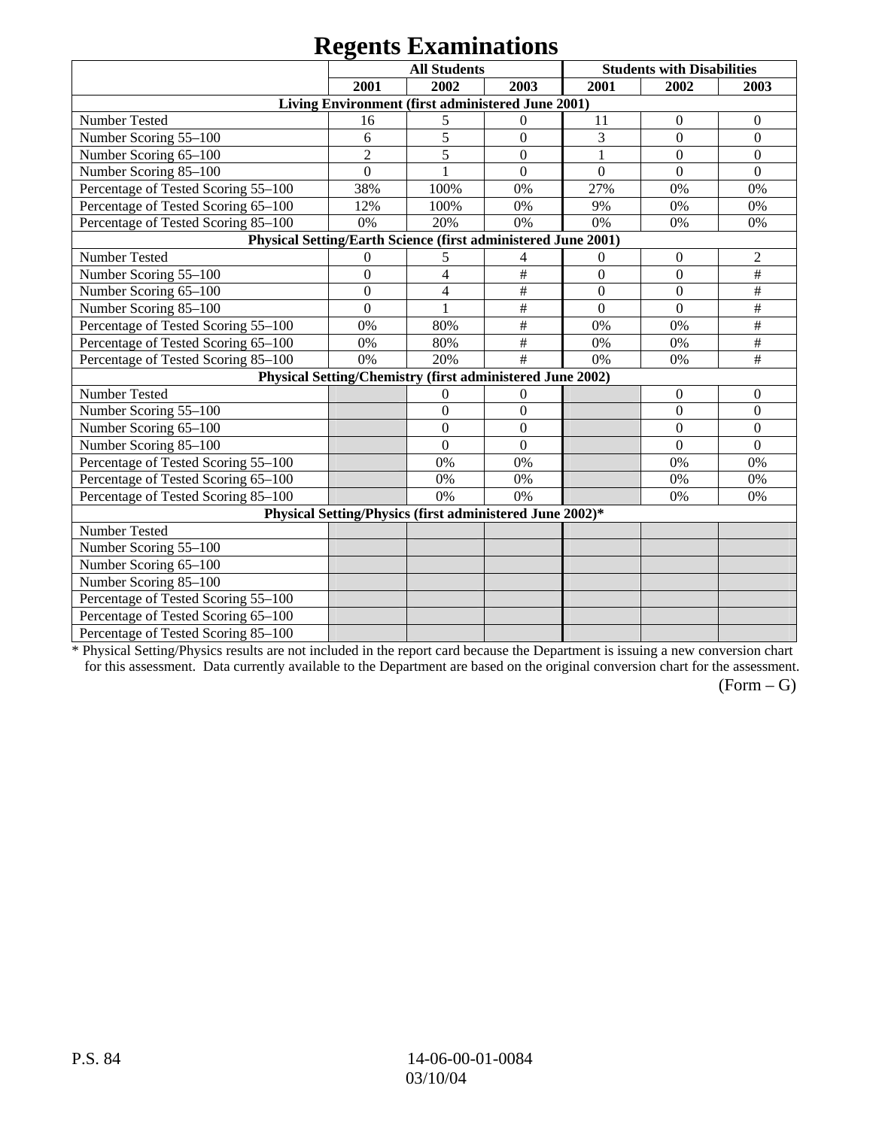# **Regents Examinations**

|                                                               |                  | $\sim$<br><b>All Students</b>                             |                |                  | <b>Students with Disabilities</b> |                  |
|---------------------------------------------------------------|------------------|-----------------------------------------------------------|----------------|------------------|-----------------------------------|------------------|
|                                                               | 2001             | 2002                                                      | 2003           | 2001             | 2002                              | 2003             |
|                                                               |                  | Living Environment (first administered June 2001)         |                |                  |                                   |                  |
| Number Tested                                                 | 16               | 5                                                         | $\overline{0}$ | 11               | $\boldsymbol{0}$                  | $\boldsymbol{0}$ |
| Number Scoring 55-100                                         | 6                | 5                                                         | $\Omega$       | 3                | $\Omega$                          | $\mathbf{0}$     |
| Number Scoring 65-100                                         | $\overline{2}$   | 5                                                         | $\overline{0}$ | 1                | $\Omega$                          | $\mathbf{0}$     |
| Number Scoring 85-100                                         | $\overline{0}$   |                                                           | $\overline{0}$ | $\overline{0}$   | $\Omega$                          | $\overline{0}$   |
| Percentage of Tested Scoring 55-100                           | 38%              | 100%                                                      | 0%             | 27%              | 0%                                | 0%               |
| Percentage of Tested Scoring 65-100                           | 12%              | 100%                                                      | 0%             | 9%               | 0%                                | 0%               |
| Percentage of Tested Scoring 85-100                           | 0%               | 20%                                                       | 0%             | 0%               | 0%                                | 0%               |
| Physical Setting/Earth Science (first administered June 2001) |                  |                                                           |                |                  |                                   |                  |
| Number Tested                                                 | $\overline{0}$   | 5                                                         | 4              | $\theta$         | $\mathbf{0}$                      | $\overline{c}$   |
| Number Scoring 55-100                                         | $\overline{0}$   | $\overline{4}$                                            | $\#$           | $\boldsymbol{0}$ | $\boldsymbol{0}$                  | $\#$             |
| Number Scoring 65-100                                         | $\boldsymbol{0}$ | $\overline{\mathcal{A}}$                                  | $\#$           | $\boldsymbol{0}$ | $\boldsymbol{0}$                  | $\#$             |
| Number Scoring 85-100                                         | $\theta$         | 1                                                         | $\#$           | $\theta$         | $\Omega$                          | $\#$             |
| Percentage of Tested Scoring 55-100                           | 0%               | 80%                                                       | $\#$           | 0%               | 0%                                | $\#$             |
| Percentage of Tested Scoring 65-100                           | 0%               | 80%                                                       | #              | 0%               | 0%                                | #                |
| Percentage of Tested Scoring 85-100                           | 0%               | 20%                                                       | $\#$           | 0%               | 0%                                | $\#$             |
|                                                               |                  | Physical Setting/Chemistry (first administered June 2002) |                |                  |                                   |                  |
| Number Tested                                                 |                  | $\boldsymbol{0}$                                          | $\theta$       |                  | $\mathbf{0}$                      | $\theta$         |
| Number Scoring 55-100                                         |                  | $\mathbf{0}$                                              | $\theta$       |                  | $\boldsymbol{0}$                  | $\boldsymbol{0}$ |
| Number Scoring 65-100                                         |                  | $\boldsymbol{0}$                                          | $\overline{0}$ |                  | $\boldsymbol{0}$                  | $\mathbf{0}$     |
| Number Scoring 85-100                                         |                  | $\overline{0}$                                            | $\overline{0}$ |                  | $\Omega$                          | $\mathbf{0}$     |
| Percentage of Tested Scoring 55-100                           |                  | 0%                                                        | 0%             |                  | 0%                                | 0%               |
| Percentage of Tested Scoring 65-100                           |                  | 0%                                                        | 0%             |                  | 0%                                | 0%               |
| Percentage of Tested Scoring 85-100                           |                  | 0%                                                        | 0%             |                  | 0%                                | 0%               |
|                                                               |                  | Physical Setting/Physics (first administered June 2002)*  |                |                  |                                   |                  |
| Number Tested                                                 |                  |                                                           |                |                  |                                   |                  |
| Number Scoring 55-100                                         |                  |                                                           |                |                  |                                   |                  |
| Number Scoring 65-100                                         |                  |                                                           |                |                  |                                   |                  |
| Number Scoring 85-100                                         |                  |                                                           |                |                  |                                   |                  |
| Percentage of Tested Scoring 55-100                           |                  |                                                           |                |                  |                                   |                  |
| Percentage of Tested Scoring 65-100                           |                  |                                                           |                |                  |                                   |                  |
| Percentage of Tested Scoring 85-100                           |                  |                                                           |                |                  |                                   |                  |

\* Physical Setting/Physics results are not included in the report card because the Department is issuing a new conversion chart for this assessment. Data currently available to the Department are based on the original conversion chart for the assessment.

 $(Form - G)$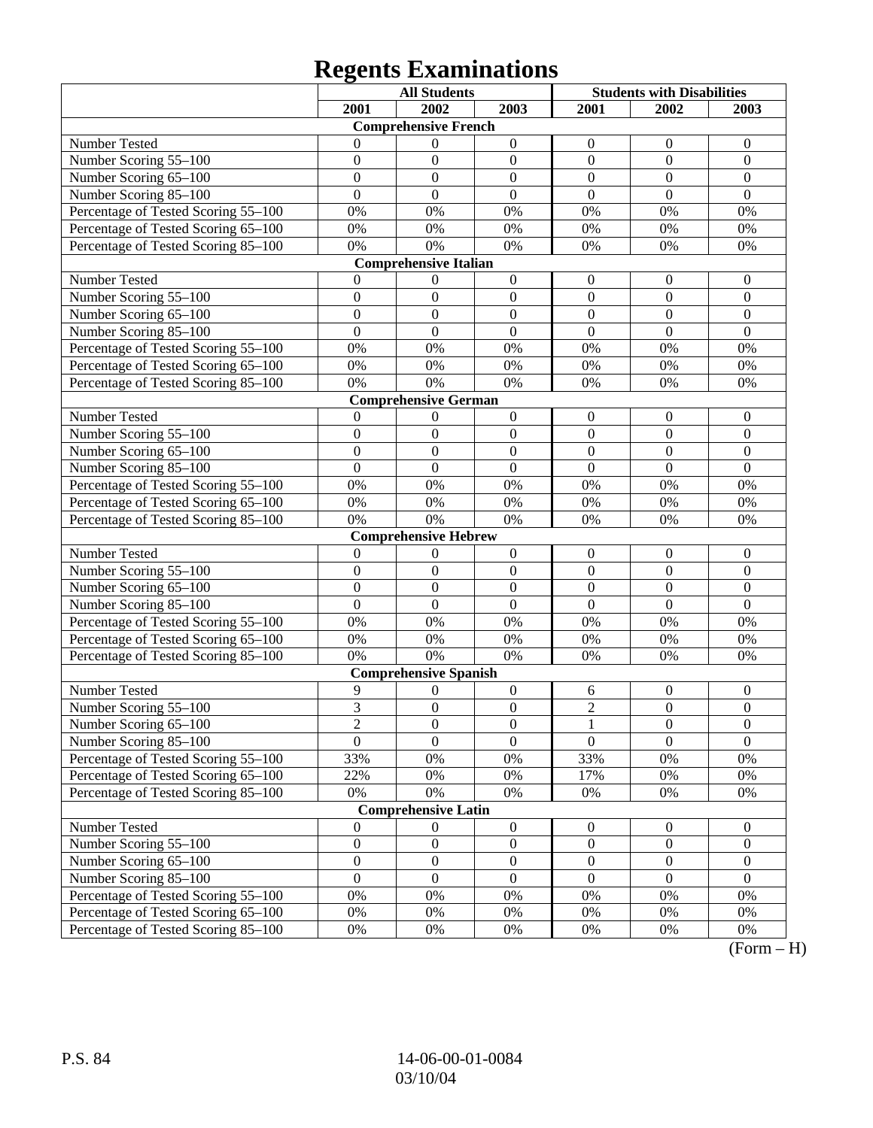# **Regents Examinations**

|                                     |                  | <b>All Students</b>          |                  | <b>Students with Disabilities</b> |                  |                  |
|-------------------------------------|------------------|------------------------------|------------------|-----------------------------------|------------------|------------------|
|                                     | 2001             | 2002                         | 2003             | 2001                              | 2002             | 2003             |
|                                     |                  | <b>Comprehensive French</b>  |                  |                                   |                  |                  |
| Number Tested                       | $\Omega$         | $\theta$                     | $\boldsymbol{0}$ | $\theta$                          | $\boldsymbol{0}$ | $\boldsymbol{0}$ |
| Number Scoring 55-100               | $\mathbf{0}$     | $\boldsymbol{0}$             | $\boldsymbol{0}$ | $\boldsymbol{0}$                  | $\boldsymbol{0}$ | $\boldsymbol{0}$ |
| Number Scoring 65-100               | $\mathbf{0}$     | $\mathbf{0}$                 | $\boldsymbol{0}$ | $\overline{0}$                    | $\mathbf{0}$     | $\boldsymbol{0}$ |
| Number Scoring 85-100               | $\mathbf{0}$     | $\overline{0}$               | $\mathbf{0}$     | $\overline{0}$                    | $\mathbf{0}$     | $\mathbf{0}$     |
| Percentage of Tested Scoring 55-100 | $0\%$            | $0\%$                        | 0%               | 0%                                | 0%               | $0\%$            |
| Percentage of Tested Scoring 65-100 | $0\%$            | 0%                           | 0%               | $0\%$                             | $0\%$            | $0\%$            |
| Percentage of Tested Scoring 85-100 | $0\%$            | $0\%$                        | 0%               | 0%                                | 0%               | 0%               |
|                                     |                  | <b>Comprehensive Italian</b> |                  |                                   |                  |                  |
| <b>Number Tested</b>                | $\mathbf{0}$     | $\boldsymbol{0}$             | $\boldsymbol{0}$ | $\boldsymbol{0}$                  | $\boldsymbol{0}$ | $\boldsymbol{0}$ |
| Number Scoring 55-100               | $\mathbf{0}$     | $\overline{0}$               | $\boldsymbol{0}$ | $\overline{0}$                    | $\mathbf{0}$     | $\mathbf{0}$     |
| Number Scoring 65-100               | $\mathbf{0}$     | $\mathbf{0}$                 | $\mathbf{0}$     | $\overline{0}$                    | $\mathbf{0}$     | $\mathbf{0}$     |
| Number Scoring 85-100               | $\mathbf{0}$     | $\mathbf{0}$                 | $\mathbf{0}$     | $\overline{0}$                    | $\mathbf{0}$     | $\mathbf{0}$     |
| Percentage of Tested Scoring 55-100 | $0\%$            | $0\%$                        | 0%               | 0%                                | 0%               | 0%               |
| Percentage of Tested Scoring 65-100 | $0\%$            | $0\%$                        | 0%               | $0\%$                             | $0\%$            | $0\%$            |
| Percentage of Tested Scoring 85-100 | 0%               | 0%                           | 0%               | 0%                                | 0%               | 0%               |
|                                     |                  | <b>Comprehensive German</b>  |                  |                                   |                  |                  |
| Number Tested                       | $\mathbf{0}$     | $\theta$                     | $\boldsymbol{0}$ | $\boldsymbol{0}$                  | $\boldsymbol{0}$ | $\boldsymbol{0}$ |
| Number Scoring 55-100               | $\mathbf{0}$     | $\boldsymbol{0}$             | $\boldsymbol{0}$ | $\mathbf{0}$                      | $\mathbf{0}$     | $\mathbf{0}$     |
| Number Scoring 65-100               | $\mathbf{0}$     | $\overline{0}$               | $\mathbf{0}$     | $\mathbf{0}$                      | $\mathbf{0}$     | $\mathbf{0}$     |
| Number Scoring 85-100               | $\mathbf{0}$     | $\overline{0}$               | $\mathbf{0}$     | $\mathbf{0}$                      | $\mathbf{0}$     | $\mathbf{0}$     |
| Percentage of Tested Scoring 55-100 | $0\%$            | $0\%$                        | 0%               | 0%                                | 0%               | 0%               |
| Percentage of Tested Scoring 65-100 | $0\%$            | $0\%$                        | 0%               | $0\%$                             | $0\%$            | $0\%$            |
| Percentage of Tested Scoring 85-100 | 0%               | $0\%$                        | 0%               | 0%                                | 0%               | 0%               |
|                                     |                  | <b>Comprehensive Hebrew</b>  |                  |                                   |                  |                  |
| Number Tested                       | $\mathbf{0}$     | $\theta$                     | $\boldsymbol{0}$ | $\boldsymbol{0}$                  | $\boldsymbol{0}$ | $\boldsymbol{0}$ |
| Number Scoring 55-100               | $\mathbf{0}$     | $\mathbf{0}$                 | $\boldsymbol{0}$ | $\boldsymbol{0}$                  | $\mathbf{0}$     | $\mathbf{0}$     |
| Number Scoring 65-100               | $\mathbf{0}$     | $\mathbf{0}$                 | $\boldsymbol{0}$ | $\mathbf{0}$                      | $\mathbf{0}$     | $\boldsymbol{0}$ |
| Number Scoring 85-100               | $\mathbf{0}$     | $\mathbf{0}$                 | $\boldsymbol{0}$ | $\overline{0}$                    | $\mathbf{0}$     | $\mathbf{0}$     |
| Percentage of Tested Scoring 55-100 | $0\%$            | $0\%$                        | 0%               | 0%                                | $0\%$            | $0\%$            |
| Percentage of Tested Scoring 65-100 | $0\%$            | $0\%$                        | $0\%$            | $0\%$                             | $0\%$            | $0\%$            |
| Percentage of Tested Scoring 85-100 | 0%               | 0%                           | 0%               | 0%                                | 0%               | 0%               |
|                                     |                  | <b>Comprehensive Spanish</b> |                  |                                   |                  |                  |
| Number Tested                       | 9                | 0                            | $\boldsymbol{0}$ | 6                                 | $\boldsymbol{0}$ | $\boldsymbol{0}$ |
| Number Scoring 55-100               | 3                | $\boldsymbol{0}$             | $\boldsymbol{0}$ | $\overline{c}$                    | $\boldsymbol{0}$ | $\boldsymbol{0}$ |
| Number Scoring $65-100$             | $\overline{c}$   | $\overline{0}$               | $\overline{0}$   | $\mathbf{1}$                      | $\boldsymbol{0}$ | $\boldsymbol{0}$ |
| Number Scoring 85-100               | $\mathbf{0}$     | $\overline{0}$               | $\boldsymbol{0}$ | $\mathbf{0}$                      | $\boldsymbol{0}$ | $\mathbf{0}$     |
| Percentage of Tested Scoring 55-100 | 33%              | 0%                           | 0%               | 33%                               | $0\%$            | $0\%$            |
| Percentage of Tested Scoring 65-100 | 22%              | 0%                           | 0%               | 17%                               | $0\%$            | $0\%$            |
| Percentage of Tested Scoring 85-100 | 0%               | 0%                           | 0%               | $0\%$                             | $0\%$            | $0\%$            |
|                                     |                  | <b>Comprehensive Latin</b>   |                  |                                   |                  |                  |
| Number Tested                       | $\mathbf{0}$     | 0                            | $\boldsymbol{0}$ | $\mathbf{0}$                      | $\mathbf{0}$     | $\mathbf{0}$     |
| Number Scoring 55-100               | $\boldsymbol{0}$ | $\boldsymbol{0}$             | $\boldsymbol{0}$ | $\boldsymbol{0}$                  | $\boldsymbol{0}$ | $\boldsymbol{0}$ |
| Number Scoring 65-100               | $\boldsymbol{0}$ | $\boldsymbol{0}$             | $\boldsymbol{0}$ | $\boldsymbol{0}$                  | $\boldsymbol{0}$ | $\boldsymbol{0}$ |
| Number Scoring 85-100               | $\mathbf{0}$     | $\boldsymbol{0}$             | $\boldsymbol{0}$ | $\boldsymbol{0}$                  | $\boldsymbol{0}$ | $\boldsymbol{0}$ |
| Percentage of Tested Scoring 55-100 | 0%               | 0%                           | 0%               | $0\%$                             | $0\%$            | $0\%$            |
| Percentage of Tested Scoring 65-100 | 0%               | 0%                           | 0%               | $0\%$                             | $0\%$            | $0\%$            |
| Percentage of Tested Scoring 85-100 | $0\%$            | $0\%$                        | $0\%$            | $0\%$                             | $0\%$            | $0\%$            |

 $\overline{(Form - H)}$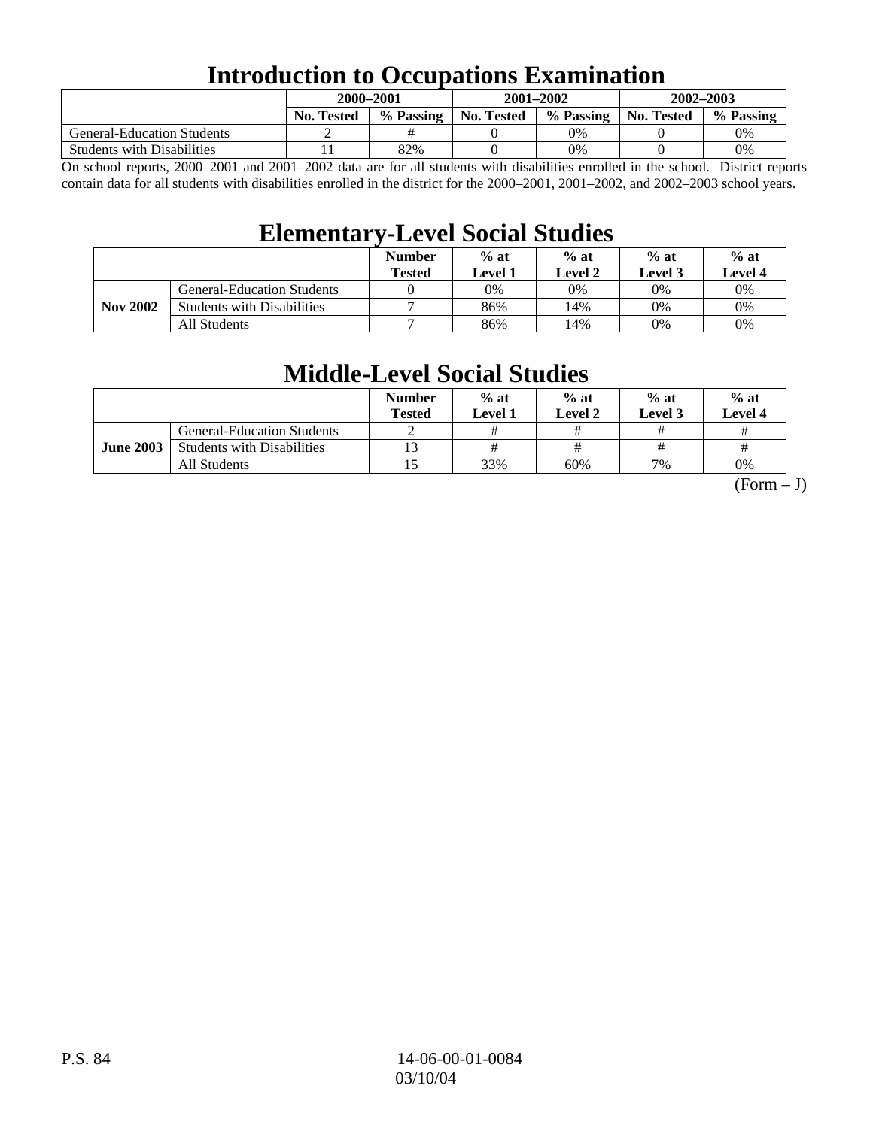# **Introduction to Occupations Examination**

|                                   | 2000–2001         |           |            | 2001-2002 | 2002-2003         |           |  |
|-----------------------------------|-------------------|-----------|------------|-----------|-------------------|-----------|--|
|                                   | <b>No. Tested</b> | % Passing | No. Tested | % Passing | <b>No. Tested</b> | % Passing |  |
| <b>General-Education Students</b> |                   |           |            | $0\%$     |                   | 0%        |  |
| <b>Students with Disabilities</b> |                   | 82%       |            | 0%        |                   | 0%        |  |

On school reports, 2000–2001 and 2001–2002 data are for all students with disabilities enrolled in the school. District reports contain data for all students with disabilities enrolled in the district for the 2000–2001, 2001–2002, and 2002–2003 school years.

# **Elementary-Level Social Studies**

|                 |                                   | <b>Number</b><br><b>Tested</b> | $%$ at<br>Level 1 | $%$ at<br>Level 2 | $%$ at<br>Level 3 | $%$ at<br>Level 4 |
|-----------------|-----------------------------------|--------------------------------|-------------------|-------------------|-------------------|-------------------|
|                 | <b>General-Education Students</b> |                                | 0%                | 0%                | 0%                | 0%                |
| <b>Nov 2002</b> | <b>Students with Disabilities</b> | ⇁                              | 86%               | 14%               | 0%                | 0%                |
|                 | All Students                      | −                              | 86%               | 14%               | 0%                | $0\%$             |

# **Middle-Level Social Studies**

|                  |                                   | <b>Number</b><br><b>Tested</b> | $%$ at<br>Level 1 | $%$ at<br>Level 2 | $%$ at<br><b>Level 3</b> | $%$ at<br>Level 4 |
|------------------|-----------------------------------|--------------------------------|-------------------|-------------------|--------------------------|-------------------|
|                  | <b>General-Education Students</b> |                                | #                 |                   | #                        |                   |
| <b>June 2003</b> | <b>Students with Disabilities</b> |                                | #                 |                   | #                        |                   |
|                  | All Students                      |                                | 33%               | 60%               | 7%                       | 0%                |

 $(Form - J)$